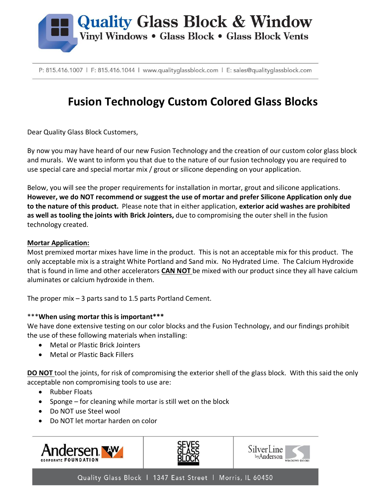

P: 815.416.1007 | F: 815.416.1044 | www.qualityglassblock.com | E: sales@qualityglassblock.com

# **Fusion Technology Custom Colored Glass Blocks**

Dear Quality Glass Block Customers,

By now you may have heard of our new Fusion Technology and the creation of our custom color glass block and murals. We want to inform you that due to the nature of our fusion technology you are required to use special care and special mortar mix / grout or silicone depending on your application.

Below, you will see the proper requirements for installation in mortar, grout and silicone applications. **However, we do NOT recommend or suggest the use of mortar and prefer Silicone Application only due to the nature of this product.** Please note that in either application, **exterior acid washes are prohibited as well as tooling the joints with Brick Jointers,** due to compromising the outer shell in the fusion technology created.

# **Mortar Application:**

Most premixed mortar mixes have lime in the product. This is not an acceptable mix for this product. The only acceptable mix is a straight White Portland and Sand mix. No Hydrated Lime. The Calcium Hydroxide that is found in lime and other accelerators **CAN NOT** be mixed with our product since they all have calcium aluminates or calcium hydroxide in them.

The proper mix  $-3$  parts sand to 1.5 parts Portland Cement.

# \*\*\***When using mortar this is important\*\*\***

We have done extensive testing on our color blocks and the Fusion Technology, and our findings prohibit the use of these following materials when installing:

- Metal or Plastic Brick Jointers
- Metal or Plastic Back Fillers

**DO NOT** tool the joints, for risk of compromising the exterior shell of the glass block. With this said the only acceptable non compromising tools to use are:

- Rubber Floats
- Sponge for cleaning while mortar is still wet on the block
- Do NOT use Steel wool
- Do NOT let mortar harden on color